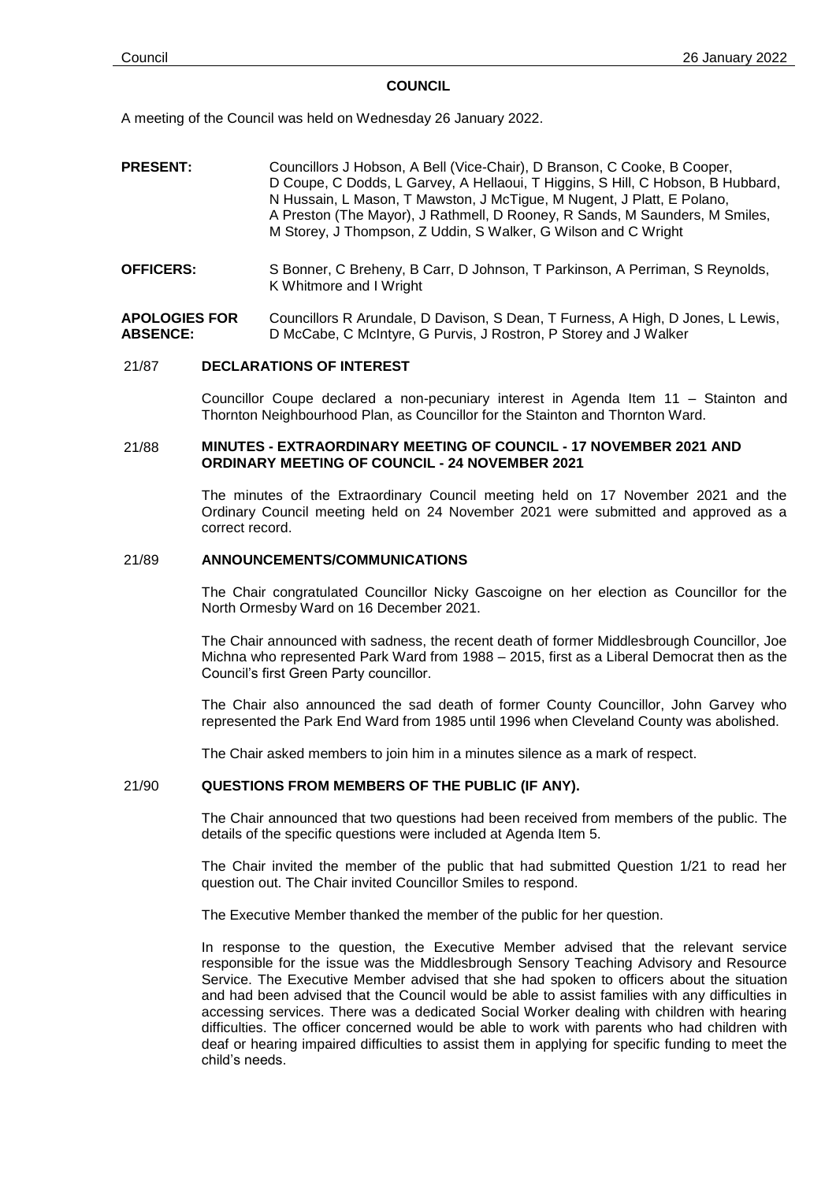### **COUNCIL**

A meeting of the Council was held on Wednesday 26 January 2022.

**PRESENT:** Councillors J Hobson, A Bell (Vice-Chair), D Branson, C Cooke, B Cooper, D Coupe, C Dodds, L Garvey, A Hellaoui, T Higgins, S Hill, C Hobson, B Hubbard, N Hussain, L Mason, T Mawston, J McTigue, M Nugent, J Platt, E Polano, A Preston (The Mayor), J Rathmell, D Rooney, R Sands, M Saunders, M Smiles, M Storey, J Thompson, Z Uddin, S Walker, G Wilson and C Wright **OFFICERS:** S Bonner, C Breheny, B Carr, D Johnson, T Parkinson, A Perriman, S Reynolds, K Whitmore and I Wright

**APOLOGIES FOR ABSENCE:** Councillors R Arundale, D Davison, S Dean, T Furness, A High, D Jones, L Lewis, D McCabe, C McIntyre, G Purvis, J Rostron, P Storey and J Walker

## 21/87 **DECLARATIONS OF INTEREST**

Councillor Coupe declared a non-pecuniary interest in Agenda Item 11 – Stainton and Thornton Neighbourhood Plan, as Councillor for the Stainton and Thornton Ward.

### 21/88 **MINUTES - EXTRAORDINARY MEETING OF COUNCIL - 17 NOVEMBER 2021 AND ORDINARY MEETING OF COUNCIL - 24 NOVEMBER 2021**

The minutes of the Extraordinary Council meeting held on 17 November 2021 and the Ordinary Council meeting held on 24 November 2021 were submitted and approved as a correct record.

# 21/89 **ANNOUNCEMENTS/COMMUNICATIONS**

The Chair congratulated Councillor Nicky Gascoigne on her election as Councillor for the North Ormesby Ward on 16 December 2021.

The Chair announced with sadness, the recent death of former Middlesbrough Councillor, Joe Michna who represented Park Ward from 1988 – 2015, first as a Liberal Democrat then as the Council's first Green Party councillor.

The Chair also announced the sad death of former County Councillor, John Garvey who represented the Park End Ward from 1985 until 1996 when Cleveland County was abolished.

The Chair asked members to join him in a minutes silence as a mark of respect.

## 21/90 **QUESTIONS FROM MEMBERS OF THE PUBLIC (IF ANY).**

The Chair announced that two questions had been received from members of the public. The details of the specific questions were included at Agenda Item 5.

The Chair invited the member of the public that had submitted Question 1/21 to read her question out. The Chair invited Councillor Smiles to respond.

The Executive Member thanked the member of the public for her question.

In response to the question, the Executive Member advised that the relevant service responsible for the issue was the Middlesbrough Sensory Teaching Advisory and Resource Service. The Executive Member advised that she had spoken to officers about the situation and had been advised that the Council would be able to assist families with any difficulties in accessing services. There was a dedicated Social Worker dealing with children with hearing difficulties. The officer concerned would be able to work with parents who had children with deaf or hearing impaired difficulties to assist them in applying for specific funding to meet the child's needs.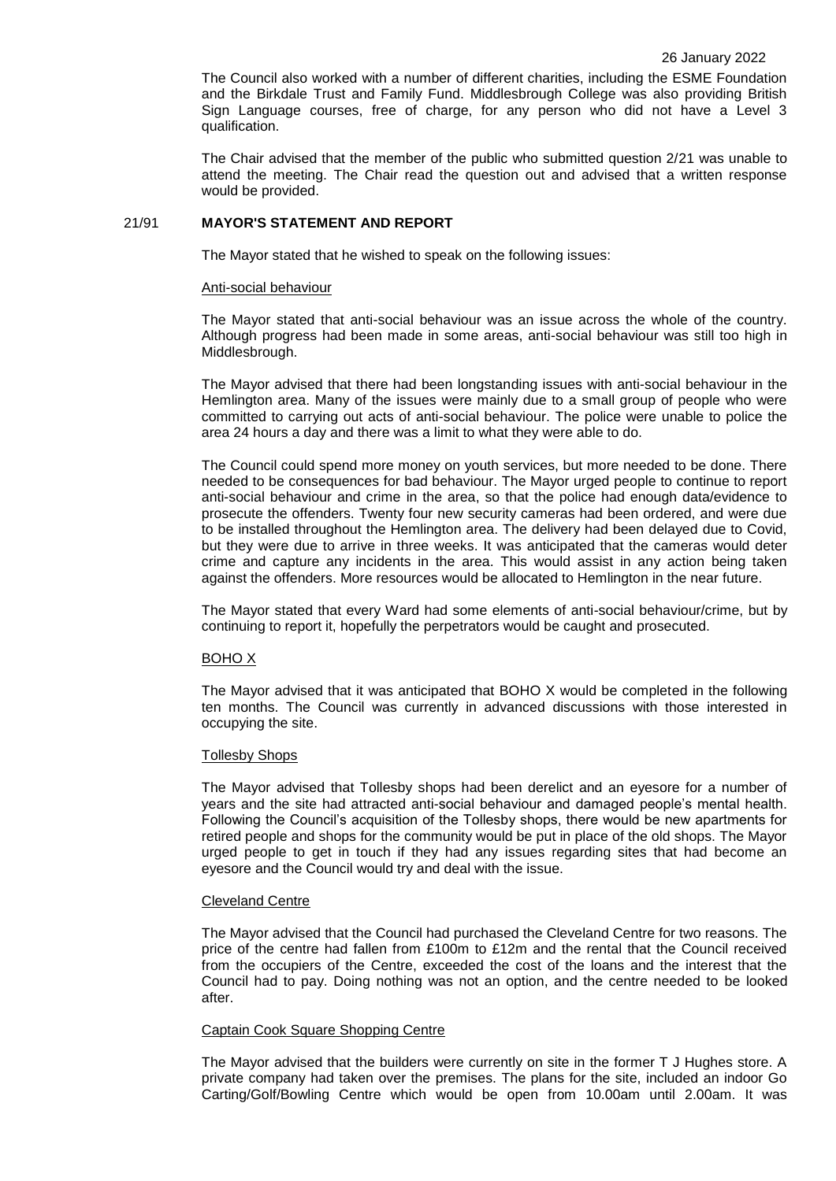The Council also worked with a number of different charities, including the ESME Foundation and the Birkdale Trust and Family Fund. Middlesbrough College was also providing British Sign Language courses, free of charge, for any person who did not have a Level 3 qualification.

The Chair advised that the member of the public who submitted question 2/21 was unable to attend the meeting. The Chair read the question out and advised that a written response would be provided.

# 21/91 **MAYOR'S STATEMENT AND REPORT**

The Mayor stated that he wished to speak on the following issues:

### Anti-social behaviour

The Mayor stated that anti-social behaviour was an issue across the whole of the country. Although progress had been made in some areas, anti-social behaviour was still too high in Middlesbrough.

The Mayor advised that there had been longstanding issues with anti-social behaviour in the Hemlington area. Many of the issues were mainly due to a small group of people who were committed to carrying out acts of anti-social behaviour. The police were unable to police the area 24 hours a day and there was a limit to what they were able to do.

The Council could spend more money on youth services, but more needed to be done. There needed to be consequences for bad behaviour. The Mayor urged people to continue to report anti-social behaviour and crime in the area, so that the police had enough data/evidence to prosecute the offenders. Twenty four new security cameras had been ordered, and were due to be installed throughout the Hemlington area. The delivery had been delayed due to Covid, but they were due to arrive in three weeks. It was anticipated that the cameras would deter crime and capture any incidents in the area. This would assist in any action being taken against the offenders. More resources would be allocated to Hemlington in the near future.

The Mayor stated that every Ward had some elements of anti-social behaviour/crime, but by continuing to report it, hopefully the perpetrators would be caught and prosecuted.

#### BOHO X

The Mayor advised that it was anticipated that BOHO X would be completed in the following ten months. The Council was currently in advanced discussions with those interested in occupying the site.

#### Tollesby Shops

The Mayor advised that Tollesby shops had been derelict and an eyesore for a number of years and the site had attracted anti-social behaviour and damaged people's mental health. Following the Council's acquisition of the Tollesby shops, there would be new apartments for retired people and shops for the community would be put in place of the old shops. The Mayor urged people to get in touch if they had any issues regarding sites that had become an eyesore and the Council would try and deal with the issue.

#### Cleveland Centre

The Mayor advised that the Council had purchased the Cleveland Centre for two reasons. The price of the centre had fallen from £100m to £12m and the rental that the Council received from the occupiers of the Centre, exceeded the cost of the loans and the interest that the Council had to pay. Doing nothing was not an option, and the centre needed to be looked after.

## Captain Cook Square Shopping Centre

The Mayor advised that the builders were currently on site in the former T J Hughes store. A private company had taken over the premises. The plans for the site, included an indoor Go Carting/Golf/Bowling Centre which would be open from 10.00am until 2.00am. It was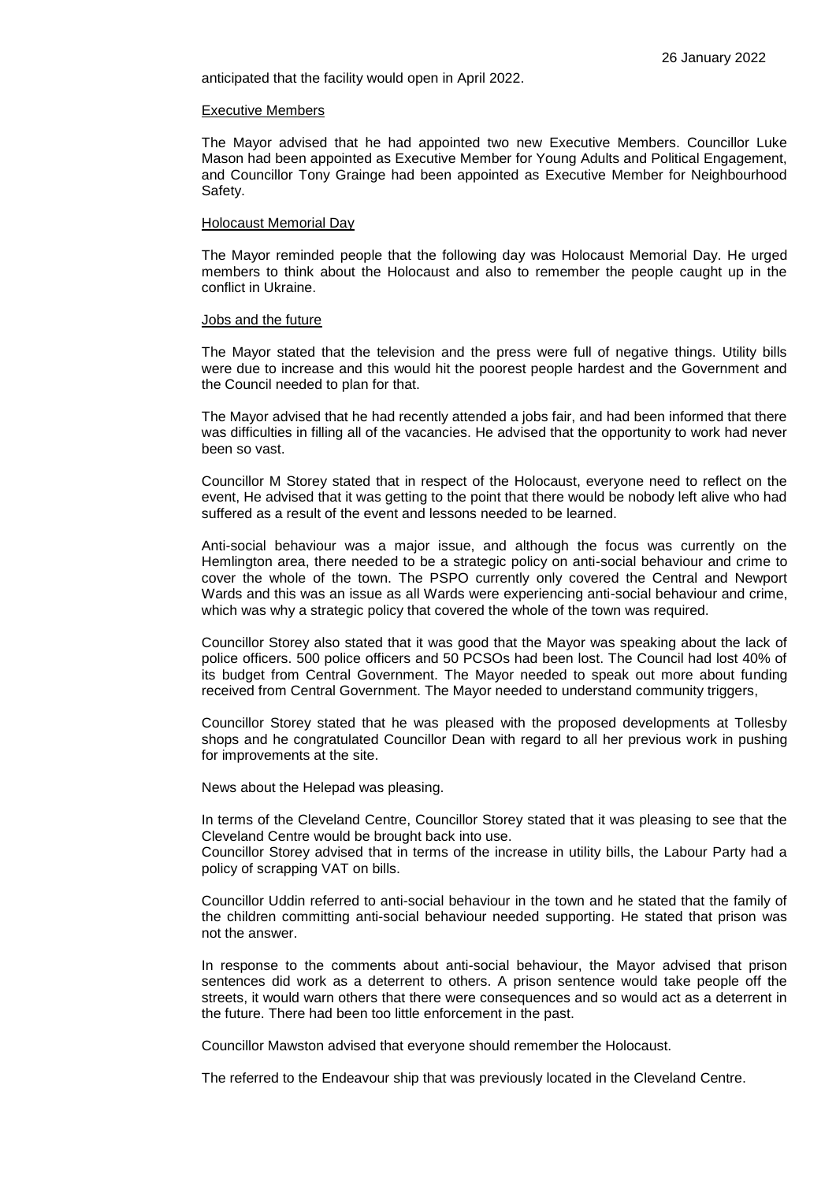anticipated that the facility would open in April 2022.

#### Executive Members

The Mayor advised that he had appointed two new Executive Members. Councillor Luke Mason had been appointed as Executive Member for Young Adults and Political Engagement, and Councillor Tony Grainge had been appointed as Executive Member for Neighbourhood Safety.

#### Holocaust Memorial Day

The Mayor reminded people that the following day was Holocaust Memorial Day. He urged members to think about the Holocaust and also to remember the people caught up in the conflict in Ukraine.

#### Jobs and the future

The Mayor stated that the television and the press were full of negative things. Utility bills were due to increase and this would hit the poorest people hardest and the Government and the Council needed to plan for that.

The Mayor advised that he had recently attended a jobs fair, and had been informed that there was difficulties in filling all of the vacancies. He advised that the opportunity to work had never been so vast.

Councillor M Storey stated that in respect of the Holocaust, everyone need to reflect on the event, He advised that it was getting to the point that there would be nobody left alive who had suffered as a result of the event and lessons needed to be learned.

Anti-social behaviour was a major issue, and although the focus was currently on the Hemlington area, there needed to be a strategic policy on anti-social behaviour and crime to cover the whole of the town. The PSPO currently only covered the Central and Newport Wards and this was an issue as all Wards were experiencing anti-social behaviour and crime, which was why a strategic policy that covered the whole of the town was required.

Councillor Storey also stated that it was good that the Mayor was speaking about the lack of police officers. 500 police officers and 50 PCSOs had been lost. The Council had lost 40% of its budget from Central Government. The Mayor needed to speak out more about funding received from Central Government. The Mayor needed to understand community triggers,

Councillor Storey stated that he was pleased with the proposed developments at Tollesby shops and he congratulated Councillor Dean with regard to all her previous work in pushing for improvements at the site.

News about the Helepad was pleasing.

In terms of the Cleveland Centre, Councillor Storey stated that it was pleasing to see that the Cleveland Centre would be brought back into use.

Councillor Storey advised that in terms of the increase in utility bills, the Labour Party had a policy of scrapping VAT on bills.

Councillor Uddin referred to anti-social behaviour in the town and he stated that the family of the children committing anti-social behaviour needed supporting. He stated that prison was not the answer.

In response to the comments about anti-social behaviour, the Mayor advised that prison sentences did work as a deterrent to others. A prison sentence would take people off the streets, it would warn others that there were consequences and so would act as a deterrent in the future. There had been too little enforcement in the past.

Councillor Mawston advised that everyone should remember the Holocaust.

The referred to the Endeavour ship that was previously located in the Cleveland Centre.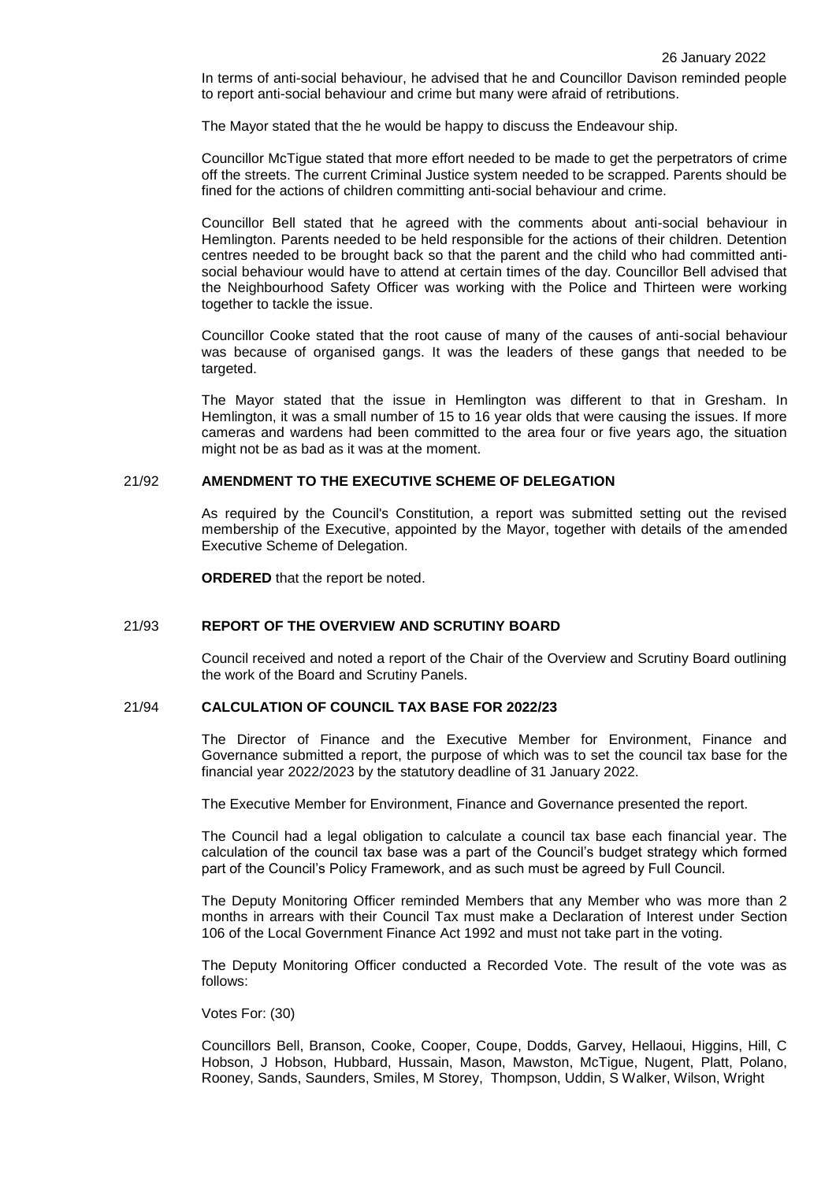In terms of anti-social behaviour, he advised that he and Councillor Davison reminded people to report anti-social behaviour and crime but many were afraid of retributions.

The Mayor stated that the he would be happy to discuss the Endeavour ship.

Councillor McTigue stated that more effort needed to be made to get the perpetrators of crime off the streets. The current Criminal Justice system needed to be scrapped. Parents should be fined for the actions of children committing anti-social behaviour and crime.

Councillor Bell stated that he agreed with the comments about anti-social behaviour in Hemlington. Parents needed to be held responsible for the actions of their children. Detention centres needed to be brought back so that the parent and the child who had committed antisocial behaviour would have to attend at certain times of the day. Councillor Bell advised that the Neighbourhood Safety Officer was working with the Police and Thirteen were working together to tackle the issue.

Councillor Cooke stated that the root cause of many of the causes of anti-social behaviour was because of organised gangs. It was the leaders of these gangs that needed to be targeted.

The Mayor stated that the issue in Hemlington was different to that in Gresham. In Hemlington, it was a small number of 15 to 16 year olds that were causing the issues. If more cameras and wardens had been committed to the area four or five years ago, the situation might not be as bad as it was at the moment.

### 21/92 **AMENDMENT TO THE EXECUTIVE SCHEME OF DELEGATION**

As required by the Council's Constitution, a report was submitted setting out the revised membership of the Executive, appointed by the Mayor, together with details of the amended Executive Scheme of Delegation.

**ORDERED** that the report be noted.

#### 21/93 **REPORT OF THE OVERVIEW AND SCRUTINY BOARD**

Council received and noted a report of the Chair of the Overview and Scrutiny Board outlining the work of the Board and Scrutiny Panels.

# 21/94 **CALCULATION OF COUNCIL TAX BASE FOR 2022/23**

The Director of Finance and the Executive Member for Environment, Finance and Governance submitted a report, the purpose of which was to set the council tax base for the financial year 2022/2023 by the statutory deadline of 31 January 2022.

The Executive Member for Environment, Finance and Governance presented the report.

The Council had a legal obligation to calculate a council tax base each financial year. The calculation of the council tax base was a part of the Council's budget strategy which formed part of the Council's Policy Framework, and as such must be agreed by Full Council.

The Deputy Monitoring Officer reminded Members that any Member who was more than 2 months in arrears with their Council Tax must make a Declaration of Interest under [Section](http://www.legislation.gov.uk/ukpga/1992/14/section/106)  [106 of the Local Government Finance Act 1992](http://www.legislation.gov.uk/ukpga/1992/14/section/106) and must not take part in the voting.

The Deputy Monitoring Officer conducted a Recorded Vote. The result of the vote was as follows:

Votes For: (30)

Councillors Bell, Branson, Cooke, Cooper, Coupe, Dodds, Garvey, Hellaoui, Higgins, Hill, C Hobson, J Hobson, Hubbard, Hussain, Mason, Mawston, McTigue, Nugent, Platt, Polano, Rooney, Sands, Saunders, Smiles, M Storey, Thompson, Uddin, S Walker, Wilson, Wright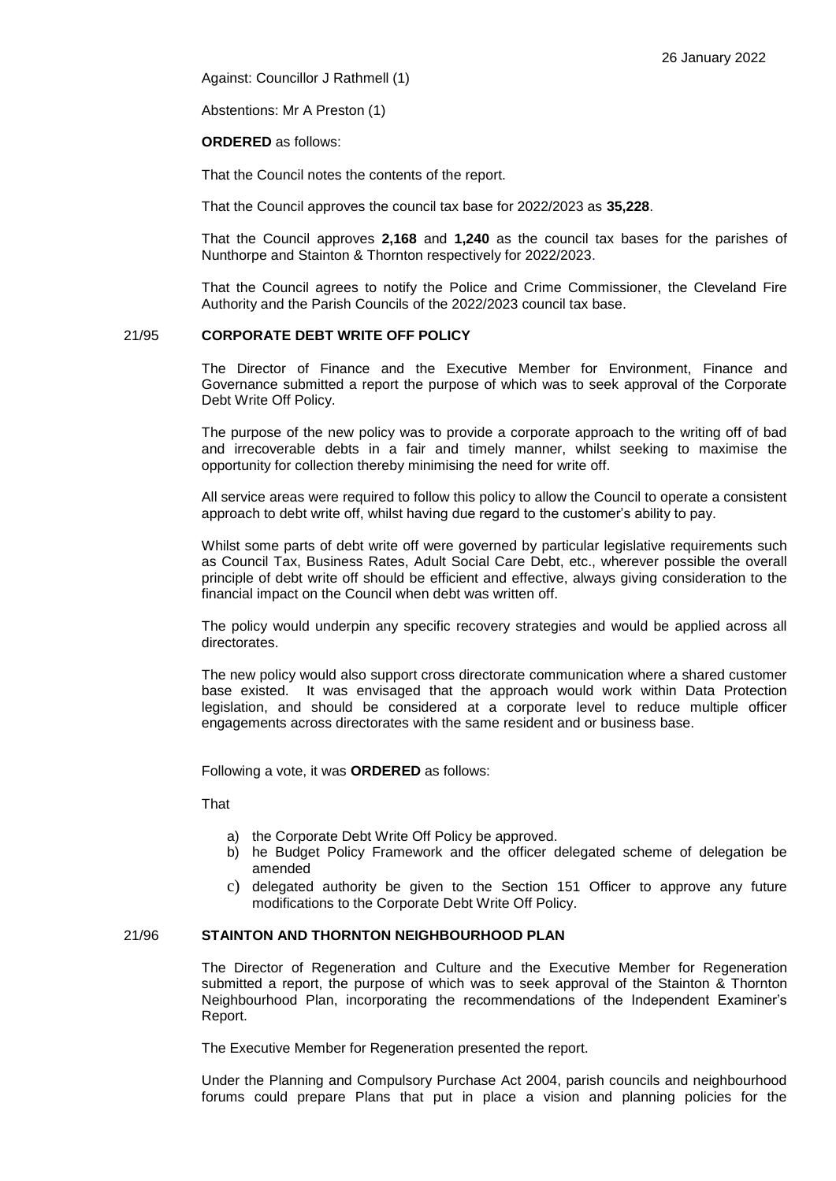Against: Councillor J Rathmell (1)

Abstentions: Mr A Preston (1)

# **ORDERED** as follows:

That the Council notes the contents of the report.

That the Council approves the council tax base for 2022/2023 as **35,228**.

That the Council approves **2,168** and **1,240** as the council tax bases for the parishes of Nunthorpe and Stainton & Thornton respectively for 2022/2023.

That the Council agrees to notify the Police and Crime Commissioner, the Cleveland Fire Authority and the Parish Councils of the 2022/2023 council tax base.

# 21/95 **CORPORATE DEBT WRITE OFF POLICY**

The Director of Finance and the Executive Member for Environment, Finance and Governance submitted a report the purpose of which was to seek approval of the Corporate Debt Write Off Policy.

The purpose of the new policy was to provide a corporate approach to the writing off of bad and irrecoverable debts in a fair and timely manner, whilst seeking to maximise the opportunity for collection thereby minimising the need for write off.

All service areas were required to follow this policy to allow the Council to operate a consistent approach to debt write off, whilst having due regard to the customer's ability to pay.

Whilst some parts of debt write off were governed by particular legislative requirements such as Council Tax, Business Rates, Adult Social Care Debt, etc., wherever possible the overall principle of debt write off should be efficient and effective, always giving consideration to the financial impact on the Council when debt was written off.

The policy would underpin any specific recovery strategies and would be applied across all directorates.

The new policy would also support cross directorate communication where a shared customer base existed. It was envisaged that the approach would work within Data Protection legislation, and should be considered at a corporate level to reduce multiple officer engagements across directorates with the same resident and or business base.

Following a vote, it was **ORDERED** as follows:

That

- a) the Corporate Debt Write Off Policy be approved.
- b) he Budget Policy Framework and the officer delegated scheme of delegation be amended
- c) delegated authority be given to the Section 151 Officer to approve any future modifications to the Corporate Debt Write Off Policy.

# 21/96 **STAINTON AND THORNTON NEIGHBOURHOOD PLAN**

The Director of Regeneration and Culture and the Executive Member for Regeneration submitted a report, the purpose of which was to seek approval of the Stainton & Thornton Neighbourhood Plan, incorporating the recommendations of the Independent Examiner's Report.

The Executive Member for Regeneration presented the report.

Under the Planning and Compulsory Purchase Act 2004, parish councils and neighbourhood forums could prepare Plans that put in place a vision and planning policies for the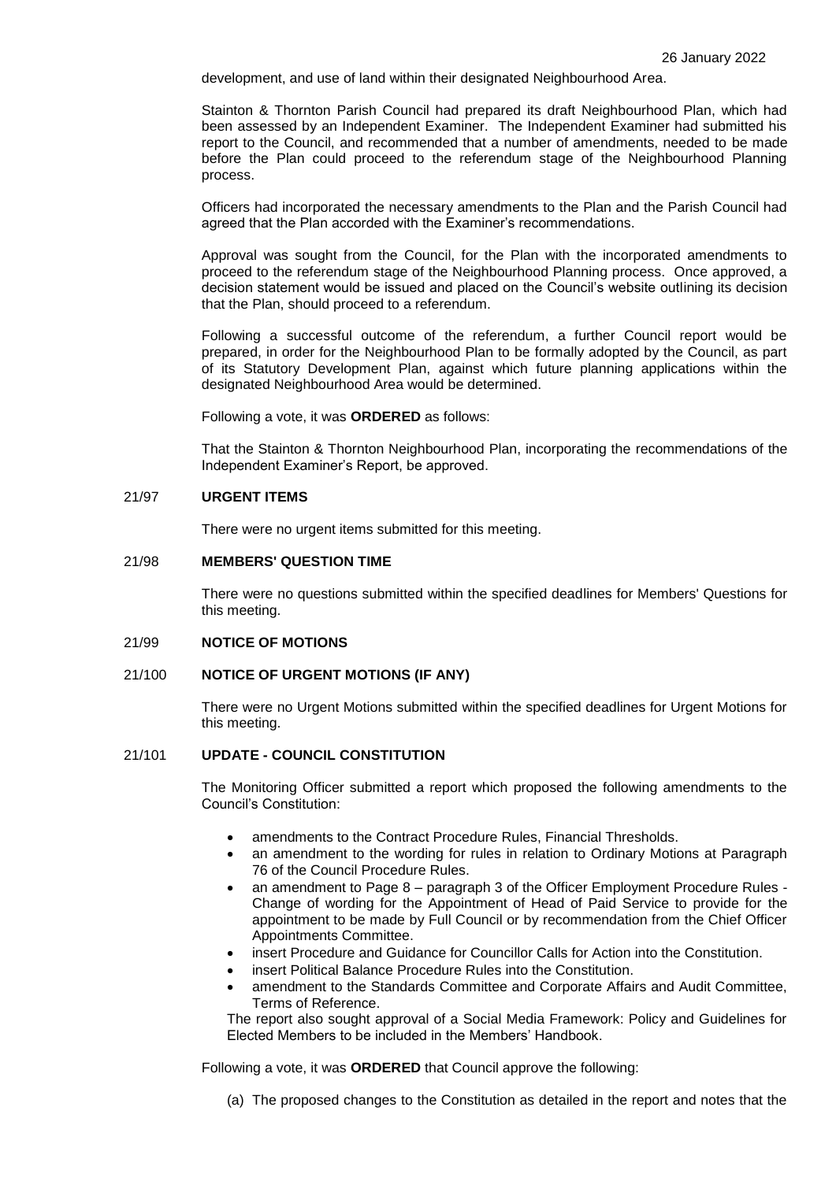development, and use of land within their designated Neighbourhood Area.

Stainton & Thornton Parish Council had prepared its draft Neighbourhood Plan, which had been assessed by an Independent Examiner. The Independent Examiner had submitted his report to the Council, and recommended that a number of amendments, needed to be made before the Plan could proceed to the referendum stage of the Neighbourhood Planning process.

Officers had incorporated the necessary amendments to the Plan and the Parish Council had agreed that the Plan accorded with the Examiner's recommendations.

Approval was sought from the Council, for the Plan with the incorporated amendments to proceed to the referendum stage of the Neighbourhood Planning process. Once approved, a decision statement would be issued and placed on the Council's website outlining its decision that the Plan, should proceed to a referendum.

Following a successful outcome of the referendum, a further Council report would be prepared, in order for the Neighbourhood Plan to be formally adopted by the Council, as part of its Statutory Development Plan, against which future planning applications within the designated Neighbourhood Area would be determined.

Following a vote, it was **ORDERED** as follows:

That the Stainton & Thornton Neighbourhood Plan, incorporating the recommendations of the Independent Examiner's Report, be approved.

### 21/97 **URGENT ITEMS**

There were no urgent items submitted for this meeting.

# 21/98 **MEMBERS' QUESTION TIME**

There were no questions submitted within the specified deadlines for Members' Questions for this meeting.

# 21/99 **NOTICE OF MOTIONS**

### 21/100 **NOTICE OF URGENT MOTIONS (IF ANY)**

There were no Urgent Motions submitted within the specified deadlines for Urgent Motions for this meeting.

### 21/101 **UPDATE - COUNCIL CONSTITUTION**

The Monitoring Officer submitted a report which proposed the following amendments to the Council's Constitution:

- amendments to the Contract Procedure Rules, Financial Thresholds.
- an amendment to the wording for rules in relation to Ordinary Motions at Paragraph 76 of the Council Procedure Rules.
- an amendment to Page 8 paragraph 3 of the Officer Employment Procedure Rules Change of wording for the Appointment of Head of Paid Service to provide for the appointment to be made by Full Council or by recommendation from the Chief Officer Appointments Committee.
- insert Procedure and Guidance for Councillor Calls for Action into the Constitution.
- insert Political Balance Procedure Rules into the Constitution.
- amendment to the Standards Committee and Corporate Affairs and Audit Committee, Terms of Reference.

The report also sought approval of a Social Media Framework: Policy and Guidelines for Elected Members to be included in the Members' Handbook.

Following a vote, it was **ORDERED** that Council approve the following:

(a) The proposed changes to the Constitution as detailed in the report and notes that the